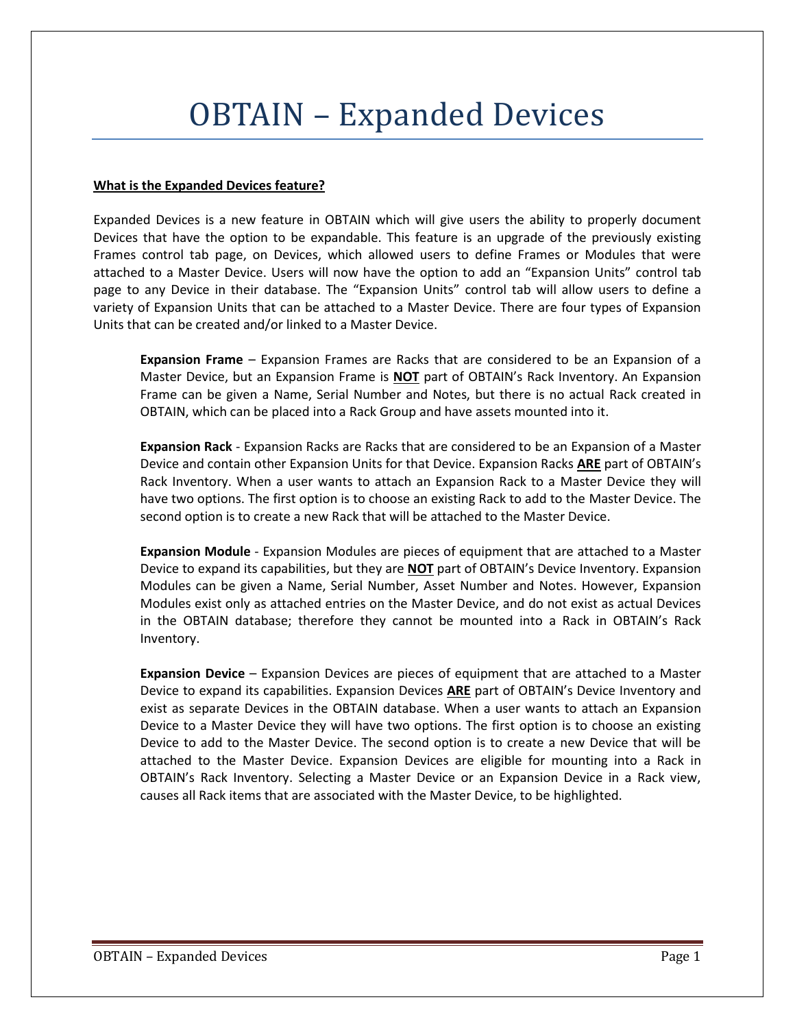## OBTAIN – Expanded Devices

## **What is the Expanded Devices feature?**

Expanded Devices is a new feature in OBTAIN which will give users the ability to properly document Devices that have the option to be expandable. This feature is an upgrade of the previously existing Frames control tab page, on Devices, which allowed users to define Frames or Modules that were attached to a Master Device. Users will now have the option to add an "Expansion Units" control tab page to any Device in their database. The "Expansion Units" control tab will allow users to define a variety of Expansion Units that can be attached to a Master Device. There are four types of Expansion Units that can be created and/or linked to a Master Device.

**Expansion Frame** – Expansion Frames are Racks that are considered to be an Expansion of a Master Device, but an Expansion Frame is **NOT** part of OBTAIN's Rack Inventory. An Expansion Frame can be given a Name, Serial Number and Notes, but there is no actual Rack created in OBTAIN, which can be placed into a Rack Group and have assets mounted into it.

**Expansion Rack** - Expansion Racks are Racks that are considered to be an Expansion of a Master Device and contain other Expansion Units for that Device. Expansion Racks **ARE** part of OBTAIN's Rack Inventory. When a user wants to attach an Expansion Rack to a Master Device they will have two options. The first option is to choose an existing Rack to add to the Master Device. The second option is to create a new Rack that will be attached to the Master Device.

**Expansion Module** - Expansion Modules are pieces of equipment that are attached to a Master Device to expand its capabilities, but they are **NOT** part of OBTAIN's Device Inventory. Expansion Modules can be given a Name, Serial Number, Asset Number and Notes. However, Expansion Modules exist only as attached entries on the Master Device, and do not exist as actual Devices in the OBTAIN database; therefore they cannot be mounted into a Rack in OBTAIN's Rack Inventory.

**Expansion Device** – Expansion Devices are pieces of equipment that are attached to a Master Device to expand its capabilities. Expansion Devices **ARE** part of OBTAIN's Device Inventory and exist as separate Devices in the OBTAIN database. When a user wants to attach an Expansion Device to a Master Device they will have two options. The first option is to choose an existing Device to add to the Master Device. The second option is to create a new Device that will be attached to the Master Device. Expansion Devices are eligible for mounting into a Rack in OBTAIN's Rack Inventory. Selecting a Master Device or an Expansion Device in a Rack view, causes all Rack items that are associated with the Master Device, to be highlighted.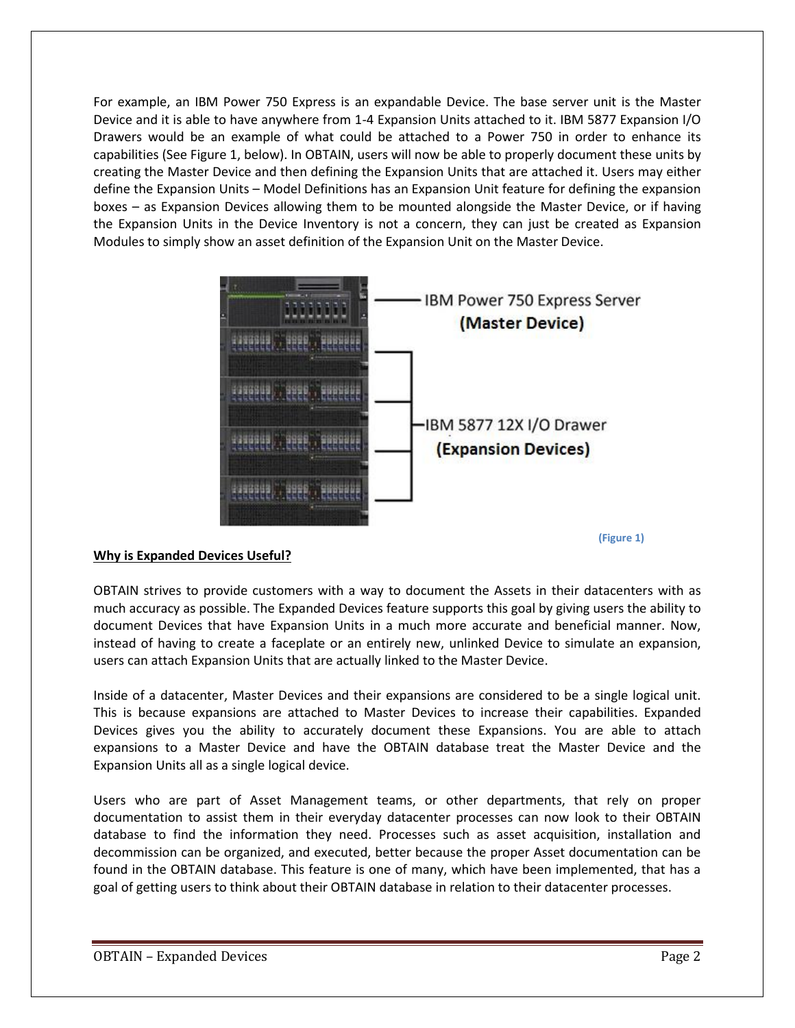For example, an IBM Power 750 Express is an expandable Device. The base server unit is the Master Device and it is able to have anywhere from 1-4 Expansion Units attached to it. IBM 5877 Expansion I/O Drawers would be an example of what could be attached to a Power 750 in order to enhance its capabilities (See Figure 1, below). In OBTAIN, users will now be able to properly document these units by creating the Master Device and then defining the Expansion Units that are attached it. Users may either define the Expansion Units – Model Definitions has an Expansion Unit feature for defining the expansion boxes – as Expansion Devices allowing them to be mounted alongside the Master Device, or if having the Expansion Units in the Device Inventory is not a concern, they can just be created as Expansion Modules to simply show an asset definition of the Expansion Unit on the Master Device.



**(Figure 1)**

## **Why is Expanded Devices Useful?**

OBTAIN strives to provide customers with a way to document the Assets in their datacenters with as much accuracy as possible. The Expanded Devices feature supports this goal by giving users the ability to document Devices that have Expansion Units in a much more accurate and beneficial manner. Now, instead of having to create a faceplate or an entirely new, unlinked Device to simulate an expansion, users can attach Expansion Units that are actually linked to the Master Device.

Inside of a datacenter, Master Devices and their expansions are considered to be a single logical unit. This is because expansions are attached to Master Devices to increase their capabilities. Expanded Devices gives you the ability to accurately document these Expansions. You are able to attach expansions to a Master Device and have the OBTAIN database treat the Master Device and the Expansion Units all as a single logical device.

Users who are part of Asset Management teams, or other departments, that rely on proper documentation to assist them in their everyday datacenter processes can now look to their OBTAIN database to find the information they need. Processes such as asset acquisition, installation and decommission can be organized, and executed, better because the proper Asset documentation can be found in the OBTAIN database. This feature is one of many, which have been implemented, that has a goal of getting users to think about their OBTAIN database in relation to their datacenter processes.